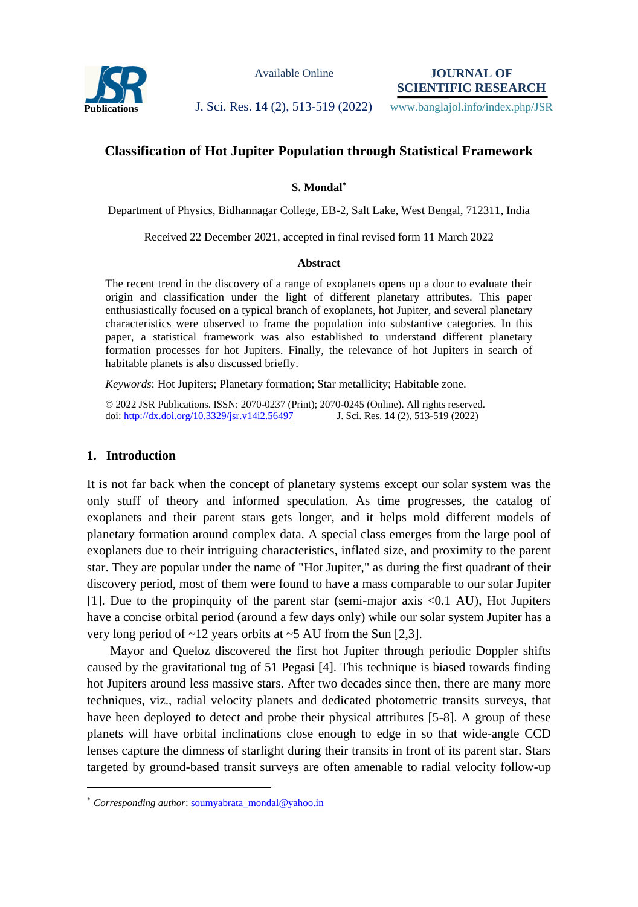

Available Online

**JOURNAL OF SCIENTIFIC RESEARCH**

**Publications J. Sci. Res. 14** (2), 513-519 (2022) www.banglajol.info/index.php/JSR

# **Classification of Hot Jupiter Population through Statistical Framework**

## **S. Mondal**

Department of Physics, Bidhannagar College, EB-2, Salt Lake, West Bengal, 712311, India

Received 22 December 2021, accepted in final revised form 11 March 2022

#### **Abstract**

The recent trend in the discovery of a range of exoplanets opens up a door to evaluate their origin and classification under the light of different planetary attributes. This paper enthusiastically focused on a typical branch of exoplanets, hot Jupiter, and several planetary characteristics were observed to frame the population into substantive categories. In this paper, a statistical framework was also established to understand different planetary formation processes for hot Jupiters. Finally, the relevance of hot Jupiters in search of habitable planets is also discussed briefly.

*Keywords*: Hot Jupiters; Planetary formation; Star metallicity; Habitable zone.

© 2022 JSR Publications. ISSN: 2070-0237 (Print); 2070-0245 (Online). All rights reserved. doi:<http://dx.doi.org/10.3329/jsr.v14i2.56497>J. Sci. Res. 14 (2), 513-519 (2022)

## **1. Introduction**

 $\overline{a}$ 

It is not far back when the concept of planetary systems except our solar system was the only stuff of theory and informed speculation. As time progresses, the catalog of exoplanets and their parent stars gets longer, and it helps mold different models of planetary formation around complex data. A special class emerges from the large pool of exoplanets due to their intriguing characteristics, inflated size, and proximity to the parent star. They are popular under the name of "Hot Jupiter," as during the first quadrant of their discovery period, most of them were found to have a mass comparable to our solar Jupiter [1]. Due to the propinquity of the parent star (semi-major axis <0.1 AU), Hot Jupiters have a concise orbital period (around a few days only) while our solar system Jupiter has a very long period of  $\sim$ 12 years orbits at  $\sim$ 5 AU from the Sun [2,3].

Mayor and Queloz discovered the first hot Jupiter through periodic Doppler shifts caused by the gravitational tug of 51 Pegasi [4]. This technique is biased towards finding hot Jupiters around less massive stars. After two decades since then, there are many more techniques, viz., radial velocity planets and dedicated photometric transits surveys, that have been deployed to detect and probe their physical attributes [5-8]. A group of these planets will have orbital inclinations close enough to edge in so that wide-angle CCD lenses capture the dimness of starlight during their transits in front of its parent star. Stars targeted by ground-based transit surveys are often amenable to radial velocity follow-up

*Corresponding author*[: soumyabrata\\_mondal@yahoo.in](mailto:soumyabrata_mondal@yahoo.in)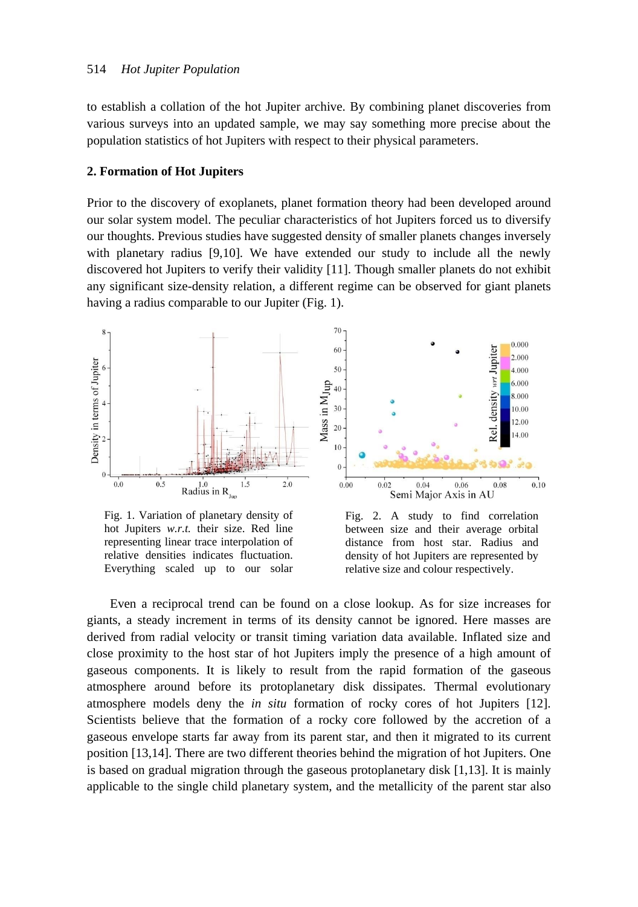to establish a collation of the hot Jupiter archive. By combining planet discoveries from various surveys into an updated sample, we may say something more precise about the population statistics of hot Jupiters with respect to their physical parameters.

#### **2. Formation of Hot Jupiters**

Prior to the discovery of exoplanets, planet formation theory had been developed around our solar system model. The peculiar characteristics of hot Jupiters forced us to diversify our thoughts. Previous studies have suggested density of smaller planets changes inversely with planetary radius [9,10]. We have extended our study to include all the newly discovered hot Jupiters to verify their validity [11]. Though smaller planets do not exhibit any significant size-density relation, a different regime can be observed for giant planets having a radius comparable to our Jupiter (Fig. 1).



Fig. 1. Variation of planetary density of hot Jupiters *w.r.t.* their size. Red line representing linear trace interpolation of relative densities indicates fluctuation. Everything scaled up to our solar

Fig. 2. A study to find correlation between size and their average orbital distance from host star. Radius and density of hot Jupiters are represented by relative size and colour respectively.

Even a reciprocal trend can be found on a close lookup. As for size increases for giants, a steady increment in terms of its density cannot be ignored. Here masses are derived from radial velocity or transit timing variation data available. Inflated size and close proximity to the host star of hot Jupiters imply the presence of a high amount of gaseous components. It is likely to result from the rapid formation of the gaseous atmosphere around before its protoplanetary disk dissipates. Thermal evolutionary atmosphere models deny the *in situ* formation of rocky cores of hot Jupiters [12]. Scientists believe that the formation of a rocky core followed by the accretion of a gaseous envelope starts far away from its parent star, and then it migrated to its current position [13,14]. There are two different theories behind the migration of hot Jupiters. One is based on gradual migration through the gaseous protoplanetary disk [1,13]. It is mainly applicable to the single child planetary system, and the metallicity of the parent star also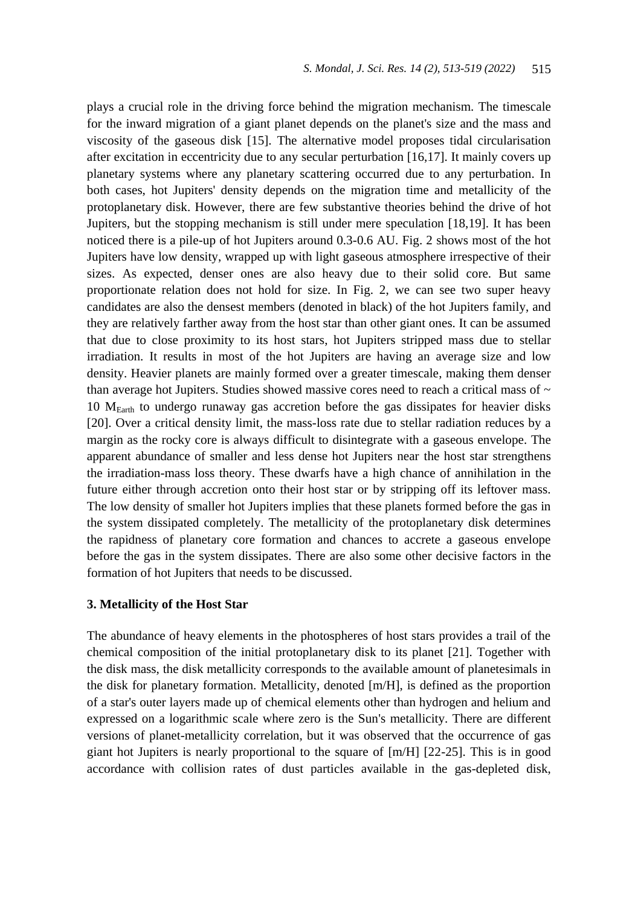plays a crucial role in the driving force behind the migration mechanism. The timescale for the inward migration of a giant planet depends on the planet's size and the mass and viscosity of the gaseous disk [15]. The alternative model proposes tidal circularisation after excitation in eccentricity due to any secular perturbation [16,17]. It mainly covers up planetary systems where any planetary scattering occurred due to any perturbation. In both cases, hot Jupiters' density depends on the migration time and metallicity of the protoplanetary disk. However, there are few substantive theories behind the drive of hot Jupiters, but the stopping mechanism is still under mere speculation [18,19]. It has been noticed there is a pile-up of hot Jupiters around 0.3-0.6 AU. Fig. 2 shows most of the hot Jupiters have low density, wrapped up with light gaseous atmosphere irrespective of their sizes. As expected, denser ones are also heavy due to their solid core. But same proportionate relation does not hold for size. In Fig. 2, we can see two super heavy candidates are also the densest members (denoted in black) of the hot Jupiters family, and they are relatively farther away from the host star than other giant ones. It can be assumed that due to close proximity to its host stars, hot Jupiters stripped mass due to stellar irradiation. It results in most of the hot Jupiters are having an average size and low density. Heavier planets are mainly formed over a greater timescale, making them denser than average hot Jupiters. Studies showed massive cores need to reach a critical mass of  $\sim$ 10  $M<sub>Earth</sub>$  to undergo runaway gas accretion before the gas dissipates for heavier disks [20]. Over a critical density limit, the mass-loss rate due to stellar radiation reduces by a margin as the rocky core is always difficult to disintegrate with a gaseous envelope. The apparent abundance of smaller and less dense hot Jupiters near the host star strengthens the irradiation-mass loss theory. These dwarfs have a high chance of annihilation in the future either through accretion onto their host star or by stripping off its leftover mass. The low density of smaller hot Jupiters implies that these planets formed before the gas in the system dissipated completely. The metallicity of the protoplanetary disk determines the rapidness of planetary core formation and chances to accrete a gaseous envelope before the gas in the system dissipates. There are also some other decisive factors in the formation of hot Jupiters that needs to be discussed.

### **3. Metallicity of the Host Star**

The abundance of heavy elements in the photospheres of host stars provides a trail of the chemical composition of the initial protoplanetary disk to its planet [21]. Together with the disk mass, the disk metallicity corresponds to the available amount of planetesimals in the disk for planetary formation. Metallicity, denoted [m/H], is defined as the proportion of a star's outer layers made up of chemical elements other than hydrogen and helium and expressed on a logarithmic scale where zero is the Sun's metallicity. There are different versions of planet-metallicity correlation, but it was observed that the occurrence of gas giant hot Jupiters is nearly proportional to the square of [m/H] [22-25]. This is in good accordance with collision rates of dust particles available in the gas-depleted disk,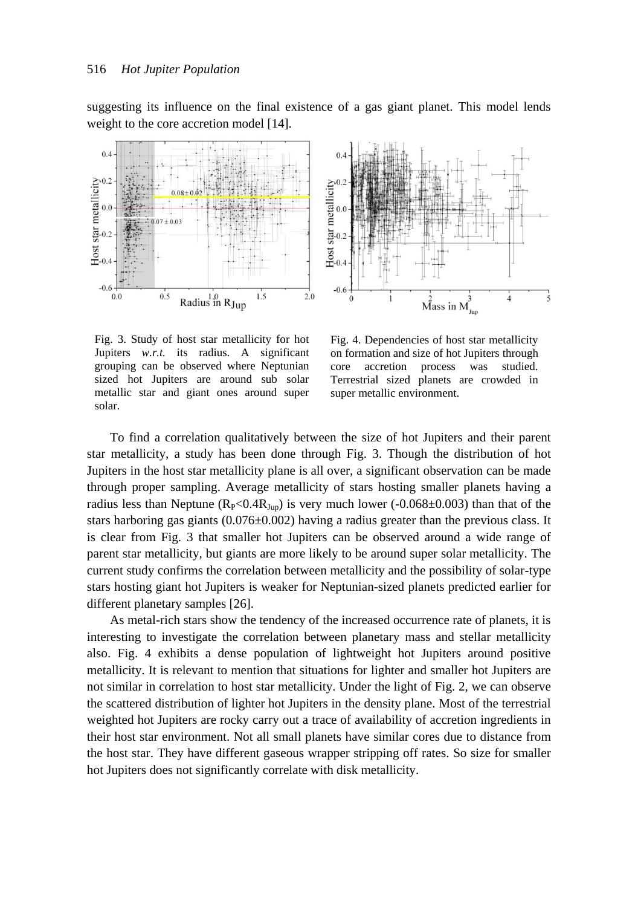suggesting its influence on the final existence of a gas giant planet. This model lends weight to the core accretion model [14].





Fig. 3. Study of host star metallicity for hot Jupiters *w.r.t.* its radius. A significant grouping can be observed where Neptunian sized hot Jupiters are around sub solar metallic star and giant ones around super solar.

Fig. 4. Dependencies of host star metallicity on formation and size of hot Jupiters through core accretion process was studied. Terrestrial sized planets are crowded in super metallic environment.

To find a correlation qualitatively between the size of hot Jupiters and their parent star metallicity, a study has been done through Fig. 3. Though the distribution of hot Jupiters in the host star metallicity plane is all over, a significant observation can be made through proper sampling. Average metallicity of stars hosting smaller planets having a radius less than Neptune ( $R_P < 0.4R_{Jup}$ ) is very much lower (-0.068±0.003) than that of the stars harboring gas giants  $(0.076 \pm 0.002)$  having a radius greater than the previous class. It is clear from Fig. 3 that smaller hot Jupiters can be observed around a wide range of parent star metallicity, but giants are more likely to be around super solar metallicity. The current study confirms the correlation between metallicity and the possibility of solar-type stars hosting giant hot Jupiters is weaker for Neptunian-sized planets predicted earlier for different planetary samples [26].

As metal-rich stars show the tendency of the increased occurrence rate of planets, it is interesting to investigate the correlation between planetary mass and stellar metallicity also. Fig. 4 exhibits a dense population of lightweight hot Jupiters around positive metallicity. It is relevant to mention that situations for lighter and smaller hot Jupiters are not similar in correlation to host star metallicity. Under the light of Fig. 2, we can observe the scattered distribution of lighter hot Jupiters in the density plane. Most of the terrestrial weighted hot Jupiters are rocky carry out a trace of availability of accretion ingredients in their host star environment. Not all small planets have similar cores due to distance from the host star. They have different gaseous wrapper stripping off rates. So size for smaller hot Jupiters does not significantly correlate with disk metallicity.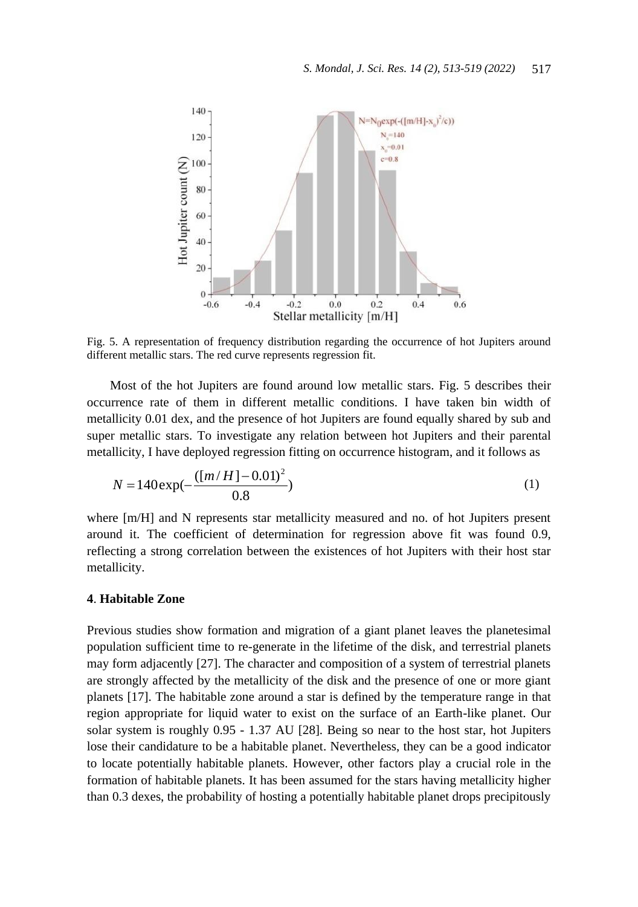

Fig. 5. A representation of frequency distribution regarding the occurrence of hot Jupiters around different metallic stars. The red curve represents regression fit.

Most of the hot Jupiters are found around low metallic stars. Fig. 5 describes their occurrence rate of them in different metallic conditions. I have taken bin width of metallicity 0.01 dex, and the presence of hot Jupiters are found equally shared by sub and super metallic stars. To investigate any relation between hot Jupiters and their parental metallicity, I have deployed regression fitting on occurrence histogram, and it follows as

$$
N = 140 \exp(-\frac{([m/H] - 0.01)^2}{0.8})
$$
\n(1)

where [m/H] and N represents star metallicity measured and no. of hot Jupiters present around it. The coefficient of determination for regression above fit was found 0.9, reflecting a strong correlation between the existences of hot Jupiters with their host star metallicity.

# **4**. **Habitable Zone**

Previous studies show formation and migration of a giant planet leaves the planetesimal population sufficient time to re-generate in the lifetime of the disk, and terrestrial planets may form adjacently [27]. The character and composition of a system of terrestrial planets are strongly affected by the metallicity of the disk and the presence of one or more giant planets [17]. The habitable zone around a star is defined by the temperature range in that region appropriate for liquid water to exist on the surface of an Earth-like planet. Our solar system is roughly 0.95 - 1.37 AU [28]. Being so near to the host star, hot Jupiters lose their candidature to be a habitable planet. Nevertheless, they can be a good indicator to locate potentially habitable planets. However, other factors play a crucial role in the formation of habitable planets. It has been assumed for the stars having metallicity higher than 0.3 dexes, the probability of hosting a potentially habitable planet drops precipitously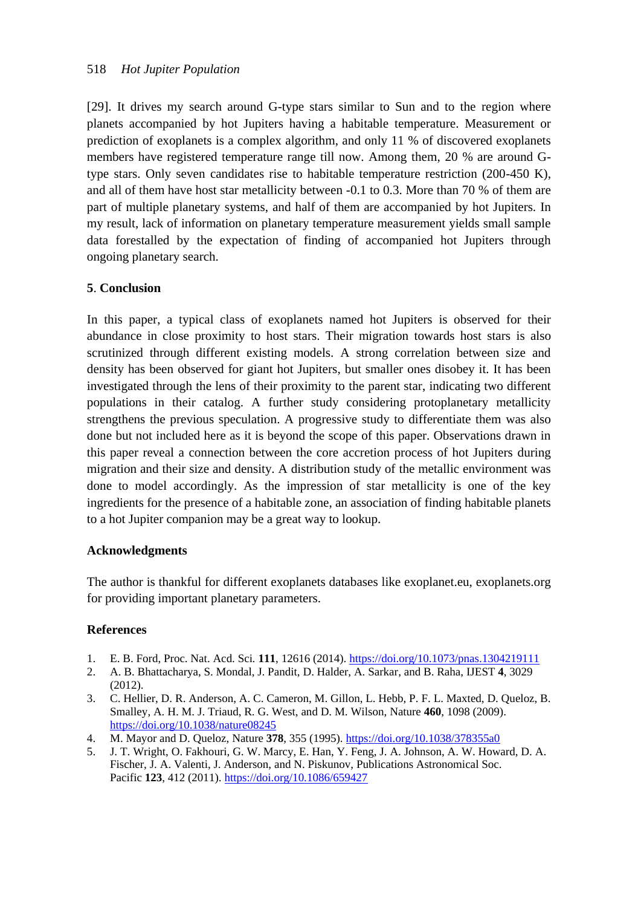[29]. It drives my search around G-type stars similar to Sun and to the region where planets accompanied by hot Jupiters having a habitable temperature. Measurement or prediction of exoplanets is a complex algorithm, and only 11 % of discovered exoplanets members have registered temperature range till now. Among them, 20 % are around Gtype stars. Only seven candidates rise to habitable temperature restriction (200-450 K), and all of them have host star metallicity between -0.1 to 0.3. More than 70 % of them are part of multiple planetary systems, and half of them are accompanied by hot Jupiters. In my result, lack of information on planetary temperature measurement yields small sample data forestalled by the expectation of finding of accompanied hot Jupiters through ongoing planetary search.

# **5**. **Conclusion**

In this paper, a typical class of exoplanets named hot Jupiters is observed for their abundance in close proximity to host stars. Their migration towards host stars is also scrutinized through different existing models. A strong correlation between size and density has been observed for giant hot Jupiters, but smaller ones disobey it. It has been investigated through the lens of their proximity to the parent star, indicating two different populations in their catalog. A further study considering protoplanetary metallicity strengthens the previous speculation. A progressive study to differentiate them was also done but not included here as it is beyond the scope of this paper. Observations drawn in this paper reveal a connection between the core accretion process of hot Jupiters during migration and their size and density. A distribution study of the metallic environment was done to model accordingly. As the impression of star metallicity is one of the key ingredients for the presence of a habitable zone, an association of finding habitable planets to a hot Jupiter companion may be a great way to lookup.

# **Acknowledgments**

The author is thankful for different exoplanets databases like exoplanet.eu, exoplanets.org for providing important planetary parameters.

# **References**

- 1. E. B. Ford, Proc. Nat. Acd. Sci*.* **111**, 12616 (2014). <https://doi.org/10.1073/pnas.1304219111>
- 2. A. B. Bhattacharya, S. Mondal, J. Pandit, D. Halder, A. Sarkar, and B. Raha, IJEST **4**, 3029 (2012).
- 3. C. Hellier, D. R. Anderson, A. C. Cameron, M. Gillon, L. Hebb, P. F. L. Maxted, D. Queloz, B. Smalley, A. H. M. J. Triaud, R. G. West, and D. M. Wilson, Nature **460**, 1098 (2009). <https://doi.org/10.1038/nature08245>
- 4. M. Mayor and D. Queloz, Nature **378**, 355 (1995). <https://doi.org/10.1038/378355a0>
- 5. J. T. Wright, O. Fakhouri, G. W. Marcy, E. Han, Y. Feng, J. A. Johnson, A. W. Howard, D. A. Fischer, J. A. Valenti, J. Anderson, and N. Piskunov, Publications Astronomical Soc. Pacific **123**, 412 (2011). <https://doi.org/10.1086/659427>